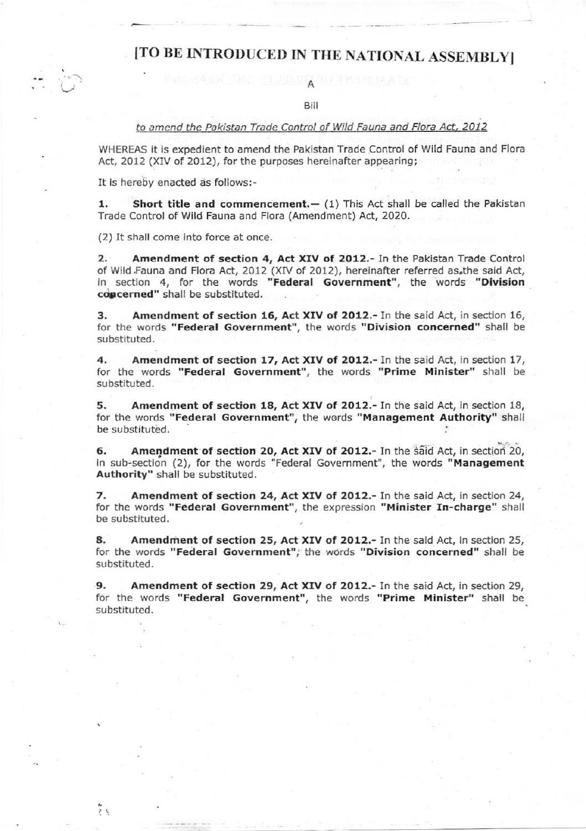## [TO BE INTRODUCED IN THE NATIONAL ASSEMBLY]

Bilt

## to amend the Pakistan Trade Control of Wild Fauna and Flora Act, 2012

WHEREAS it is expedient to amend the pakistan Trade Control of Wild Fauna and Flora Act, 2012 (XIV of 2012), for the purposes hereinafter appearing;

It is hereby enacted as follows:-

1. Short title and commencement. $-$  (1) This Act shall be called the Pakistan Trade Control of Wild Fauna and Flora (Amendment) Act, 2020.

(2) It shall come Into force at once.

یا ج

2. Amendment of section 4, Act XIV of 2012.- In the Pakistan Trade Control of Wild Fauna and Flora Act, 2012 (XIV of 2012), hereinafter referred as the said Act, in section 4, for the words "Federal Government", the words "Division concerned" shall be substituted.

3. Amendment of section 16, Act XIV of 2012.- In the said Act, in section 16, for the words "Federal Government", the words "Division concerned" shall be substituted.

4. Amendment of section 17, Act XIV of 2012.- In the said Act, in section 17, for the words "Federal Government", the words "Prime Minister" shall be substituted.

5. Amendment of section 18, Act XIV of 2012.- In the said Act, in section 18, for the words "Federal Government", the words "Management Authority" shall be substituted.

6. Amendment of section 20, Act XIV of 2012.- In the said Act, in section 20, in sub-section (2), for the words "Federal Government", the words "Management Authority" shall be substituted.

7. Amendment of section 24, Act XIV of 2012.- In the said Act, in section 24, for the words "Federal Government", the expression "Minister In-charge" shall be substituted.

8. Amendment of section 25, Act XIV of 2012.- In the said Act, in section 25, for the words "Federal Government", the words "Division concerned" shall be substituted.

9. Amendment of section 29, Act XIV of 2012.- In the said Act, in section 29, for the words "Federal Government", the words "Prime Minister" shall be substituted.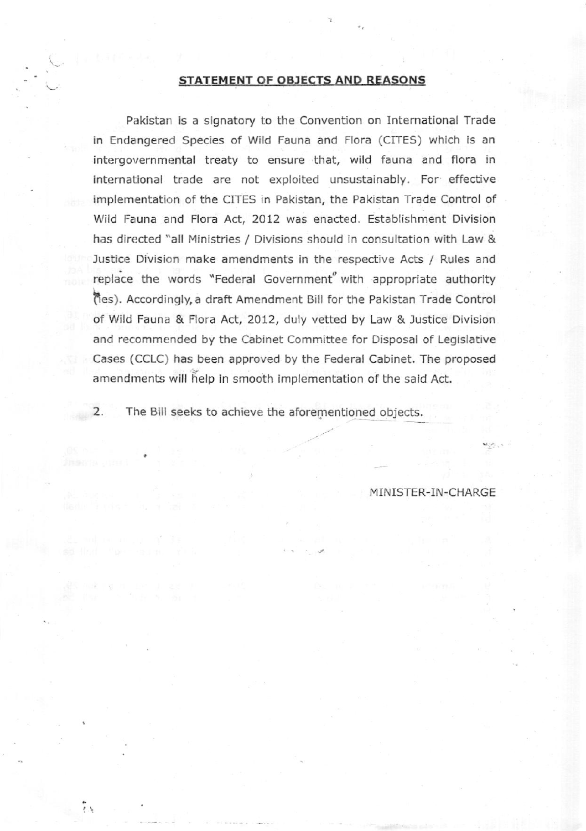## STATEMENT OF OBJECTS AND REASONS

Pakistan is a signatory to the Convention on Intemational Trade in Endangered Species of Wild Fauna and Flora (CITES) which is an intergovernmental treaty to ensure that, wild fauna and flora in international trade are not exploited unsustainably. For effective implementation of the CITES in Pakistan, the Pakistan Trade Control of Wild Fauna and Flora Act, 2012 was enacted. Establishment Division has directed "all Ministries / Divisions should in consultation with Law & lustice Division make amendments in the respective Acts / Rules and replace the words "Federal Government" with appropriate authority fes). Accordingly, a draft Amendment Bill for the Pakistan Trade Control of Wild Fauna & Flora Act, 2012, duly vetted by Law & Justice Division and recommended by the Cabinet Committee for Disposal of Legislative Cases (CCLC) has been approved by the Federai Cabinet. The proposed amendments will help in smooth implementation of the said Act.

2, The Bill seeks to achieve the aforementioned objects.

ی ج

MINISTER-IN-CHARGE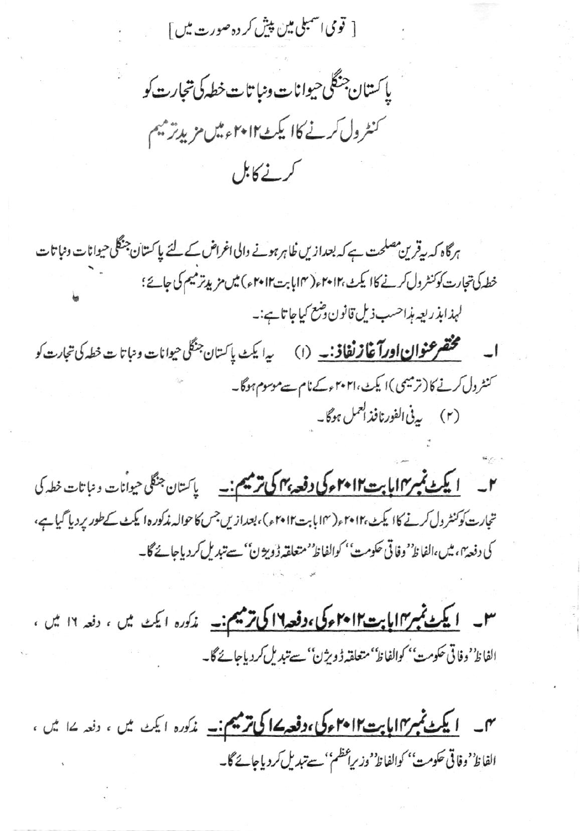[ قومی اسمبلی مین پیش کر دہ صورت میں ]

پاکستان جنگلی حیوانات ونبا تات خطه کی تجارت کو کنٹرول کرنے کاا یکٹMو+1تھیں مزیدتر میم کرنے کابل

ہرگاہ کہ بیقرین مصلحت ہے کہ بعدازیں ظاہر ہونے والی اغراض کے لئے پاکستان جنگلی حیوانات ونباتات خطہ کی تجارت کو کنٹرول کرنے کاا یکٹ ،۲۰۱۲ء( ۱۴ ہابت ۲۰۱۲ء) میں مزید ترمیم کی جائے؛ لېدابذريعه بذاحسب ذيل قانون دضع کياجاتا ہے:۔ م**ختصر عنوان اورآغازنغاذ: \_** (۱) سپه ایک پاکستان جنگلی حیوانات و نباتات خطه کی تجارت کو کنٹرول کرنے کا (ترمیمی)ا یکٹ،۲۰۲۱ءکےنام سےموسوم ہوگا۔

(۲) بی<sup>نی الفورنافذ العمل ہوگا۔</sup>

۲۔ <u>ایکٹ نمبر۱۷ پاپت ۲۰۱۲ء کی دفعہ بہم کی ترمیم:۔</u> پاکستان جنگلی حیوانات و نباتات خطہ کی تجارت کو کنٹرول کرنے کاا یکٹ ،۲۰۱۲ء(۱۴بابت۲۰۱۲ء)، بعدازیں جس کا حوالہ مذکورہ ایکٹ کے طور پر دیا گیا ہے، كى دفعة"، ميں،الفاظ' وفاقى حكومت' كوالفاظ' متعلقه ڈوپژن' سے تبديل كردياجائے گا۔

**۳۔ <u>ایکٹ تمبر۱۹امایت۱۴۰۱۲ء کی،دفعہ۱۶اکی</u> ترمیم:۔** مذکورہ ایکٹ میں ، دفعہ ۱۲ میں ،<br>الفاظ' دفاتی حکومت' کوالفاظ' متعلقہڈویژن' سے تبدیل کردیاجائے گا۔

**۴۔ <u>ایکٹ ٹمبر۱۲اپا بت۱۴</u>۰۲ءکی،دفعہ ۱۷کی ترمیم:۔** مذکورہ ایکٹ میں ، دفعہ ۱۷ میں ،<br>الفاظ<sup>ہ</sup> وفاقی حکومت<sup>،</sup> کوالفاظ<sup>ہ</sup> وزیراعظم' سے تبدیل کردیاجائے گا۔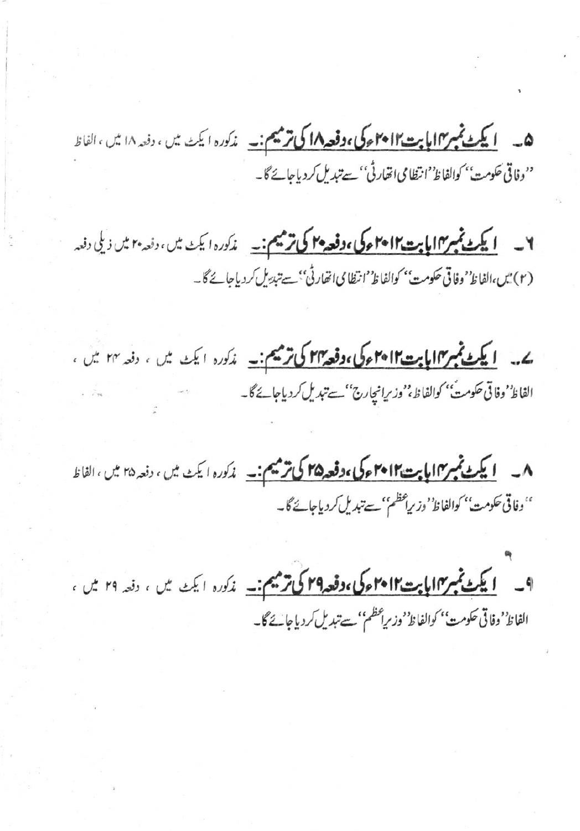ھ ۔ <mark>لیکٹ ٹمبر ۱۷ اپایت ۲۰۱۲ء کی ،وفعہ ۱۸ کی ترمیم :۔</mark> مذکورہ ایکٹ میں ، دفعہ ۱۸ میں ،الفاظ<br>''وفاتی حکومت'' کوالفاظ''انظامی اتفار ٹی'' سے تبدیل کردیاجائے گا۔

۲۔ <u>ایکٹ نمبر۱۷ ا**یابت ۲۰۱۲ءکی ،دفعہ ۴۰ کی ترمیم :**۔ مذکورہ ایکٹ میں ، دنعہ ۲۰ میں ذیلی دفعہ</u> (٢) میں،الفاظ' وفاقی حکومت'' کوالفاظ''انتظامی انھارٹی'' سے تبدیل کردیاجائے گا۔

ے۔ ایکٹ نمبر ۱۲ بابت ۲۰۱۲ء کی، وفعہ ۲۲ کی ترمیم:۔ مذکورہ ایکٹ میں ، دفعہ ۲۴ میں ، الفاظ' وفاقي حكومتُ'' كوالفاظ،''وزيرانچارج'' سے تبديل كردياجائے گا۔

۸۔ <mark>ایکٹ ٹمبر ۱۲ اپابت ۲۰۱۲ء کی ،دفعہ ۲۵ کی ترمیم:۔</mark> مذکورہ ایکٹ میں ، دفعہ ۲۵ میں ،الفاظ ''وفاقی حکومت'' کوالفاظ' وزیراعظم'' سے تبدیل کردیاجائے گا۔

ا کے تجسین الیا ہے کا میں اوقعہ 14 کی ترمیم:۔ مذکورہ ایک میں ، دفعہ ۲۹ میں ، الفاظ''وفاقي حكومت'' كوالفاظ''وزيراعظم''سے تبدیل كردياجا بحُ گا۔